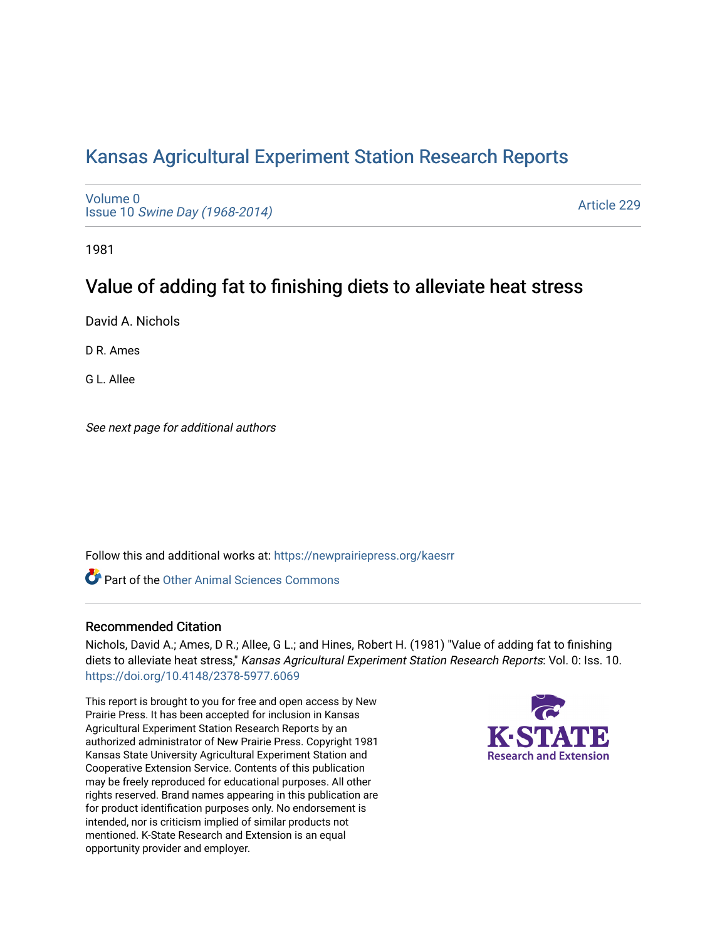# [Kansas Agricultural Experiment Station Research Reports](https://newprairiepress.org/kaesrr)

[Volume 0](https://newprairiepress.org/kaesrr/vol0) Issue 10 [Swine Day \(1968-2014\)](https://newprairiepress.org/kaesrr/vol0/iss10)

[Article 229](https://newprairiepress.org/kaesrr/vol0/iss10/229) 

1981

# Value of adding fat to finishing diets to alleviate heat stress

David A. Nichols

D R. Ames

G L. Allee

See next page for additional authors

Follow this and additional works at: [https://newprairiepress.org/kaesrr](https://newprairiepress.org/kaesrr?utm_source=newprairiepress.org%2Fkaesrr%2Fvol0%2Fiss10%2F229&utm_medium=PDF&utm_campaign=PDFCoverPages) 

**C** Part of the [Other Animal Sciences Commons](http://network.bepress.com/hgg/discipline/82?utm_source=newprairiepress.org%2Fkaesrr%2Fvol0%2Fiss10%2F229&utm_medium=PDF&utm_campaign=PDFCoverPages)

## Recommended Citation

Nichols, David A.; Ames, D R.; Allee, G L.; and Hines, Robert H. (1981) "Value of adding fat to finishing diets to alleviate heat stress," Kansas Agricultural Experiment Station Research Reports: Vol. 0: Iss. 10. <https://doi.org/10.4148/2378-5977.6069>

This report is brought to you for free and open access by New Prairie Press. It has been accepted for inclusion in Kansas Agricultural Experiment Station Research Reports by an authorized administrator of New Prairie Press. Copyright 1981 Kansas State University Agricultural Experiment Station and Cooperative Extension Service. Contents of this publication may be freely reproduced for educational purposes. All other rights reserved. Brand names appearing in this publication are for product identification purposes only. No endorsement is intended, nor is criticism implied of similar products not mentioned. K-State Research and Extension is an equal opportunity provider and employer.

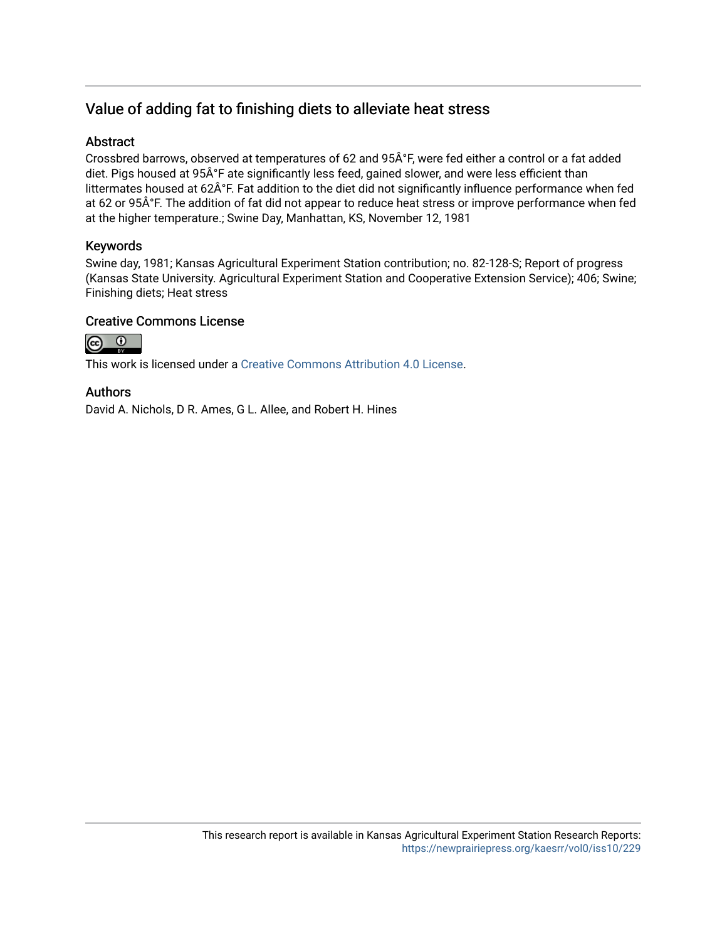# Value of adding fat to finishing diets to alleviate heat stress

### **Abstract**

Crossbred barrows, observed at temperatures of 62 and 95°F, were fed either a control or a fat added diet. Pigs housed at  $95\hat{A}^{\circ}F$  ate significantly less feed, gained slower, and were less efficient than littermates housed at 62 $\hat{A}^c$ F. Fat addition to the diet did not significantly influence performance when fed at 62 or 95°F. The addition of fat did not appear to reduce heat stress or improve performance when fed at the higher temperature.; Swine Day, Manhattan, KS, November 12, 1981

## Keywords

Swine day, 1981; Kansas Agricultural Experiment Station contribution; no. 82-128-S; Report of progress (Kansas State University. Agricultural Experiment Station and Cooperative Extension Service); 406; Swine; Finishing diets; Heat stress

#### Creative Commons License



This work is licensed under a [Creative Commons Attribution 4.0 License](https://creativecommons.org/licenses/by/4.0/).

#### Authors

David A. Nichols, D R. Ames, G L. Allee, and Robert H. Hines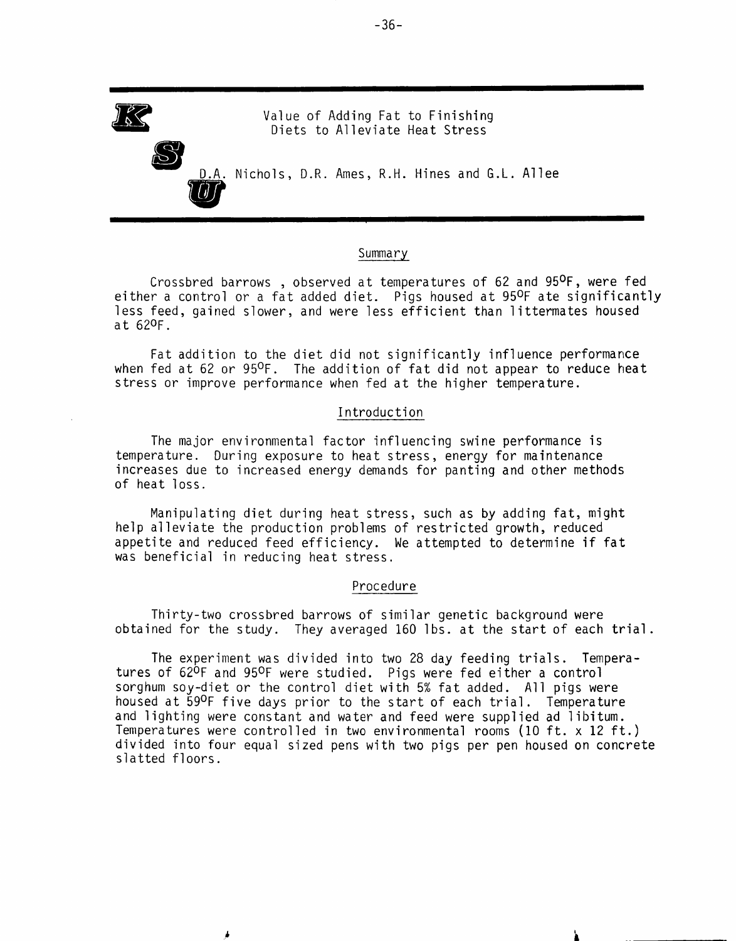

#### Summary

Crossbred barrows, observed at temperatures of 62 and 95ºF, were fed either a control or a fat added diet. Pigs housed at 95ºF ate significantly less feed, gained slower, and were less efficient than littermates housed at 62ºF.

Fat addition to the diet did not significantly influence performance when fed at 62 or 95<sup>0</sup>F. The addition of fat did not appear to reduce heat stress or improve performance when fed at the higher temperature.

#### Introduction

The major environmental factor influencing swine performance is temperature. During exposure to heat stress, energy for maintenance increases due to increased energy demands for panting and other methods of heat loss.

Manipulating diet during heat stress, such as by adding fat, might help alleviate the production problems of restricted growth, reduced appetite and reduced feed efficiency. We attempted to determine if fat was beneficial in reducing heat stress.

#### Procedure

Thirty-two crossbred barrows of similar genetic background were obtained for the study. They averaged 160 lbs. at the start of each trial.

The experiment was divided into two 28 day feeding trials. Temperatures of 62ºF and 95ºF were studied. Pigs were fed either a control sorghum soy-diet or the control diet with 5% fat added. All pigs were housed at 59ºF five days prior to the start of each trial. Temperature and lighting were constant and water and feed were supplied ad libitum. Temperatures were controlled in two environmental rooms (10 ft. x 12 ft.) divided into four equal sized pens with two pigs per pen housed on concrete slatted floors.

à

 $\frac{1}{2}$